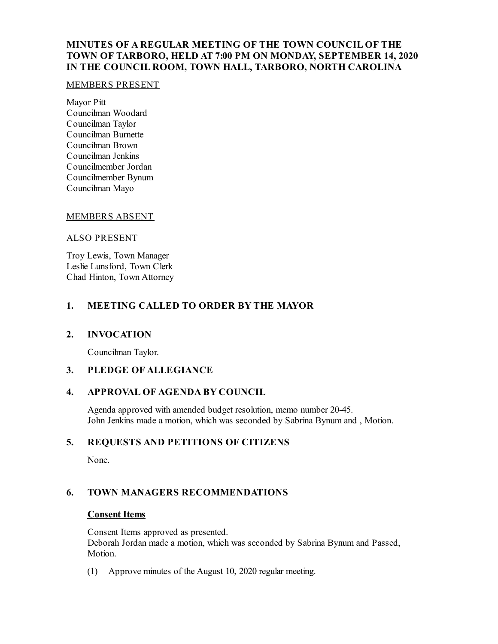## **MINUTES OF A REGULAR MEETING OF THE TOWN COUNCIL OF THE TOWN OF TARBORO, HELD AT 7:00 PM ON MONDAY, SEPTEMBER 14, 2020 IN THE COUNCIL ROOM, TOWN HALL, TARBORO, NORTH CAROLINA**

#### MEMBERS PRESENT

Mayor Pitt Councilman Woodard Councilman Taylor Councilman Burnette Councilman Brown Councilman Jenkins Councilmember Jordan Councilmember Bynum Councilman Mayo

## MEMBERS ABSENT

### ALSO PRESENT

Troy Lewis, Town Manager Leslie Lunsford, Town Clerk Chad Hinton, Town Attorney

## **1. MEETING CALLED TO ORDER BY THE MAYOR**

## **2. INVOCATION**

Councilman Taylor.

## **3. PLEDGE OF ALLEGIANCE**

## **4. APPROVAL OF AGENDA BY COUNCIL**

Agenda approved with amended budget resolution, memo number 20-45. John Jenkins made a motion, which was seconded by Sabrina Bynum and , Motion.

## **5. REQUESTS AND PETITIONS OF CITIZENS**

None.

# **6. TOWN MANAGERS RECOMMENDATIONS**

#### **Consent Items**

Consent Items approved as presented. Deborah Jordan made a motion, which was seconded by Sabrina Bynum and Passed, Motion.

(1) Approve minutes of the August 10, 2020 regular meeting.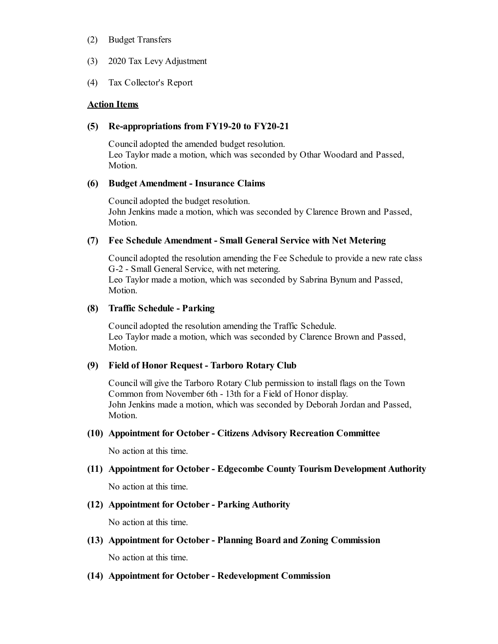- (2) Budget Transfers
- (3) 2020 Tax Levy Adjustment
- (4) Tax Collector's Report

#### **Action Items**

#### **(5) Re-appropriations from FY19-20 to FY20-21**

Counciladopted the amended budget resolution. Leo Taylor made a motion, which was seconded by Othar Woodard and Passed, Motion.

#### **(6) Budget Amendment - Insurance Claims**

Counciladopted the budget resolution. John Jenkins made a motion, which was seconded by Clarence Brown and Passed, Motion.

#### **(7) Fee Schedule Amendment - Small General Service with Net Metering**

Counciladopted the resolution amending the Fee Schedule to provide a new rate class G-2 - Small General Service, with net metering. Leo Taylor made a motion, which was seconded by Sabrina Bynum and Passed, Motion.

#### **(8) Traffic Schedule - Parking**

Counciladopted the resolution amending the Traffic Schedule. Leo Taylor made a motion, which was seconded by Clarence Brown and Passed, Motion.

#### **(9) Field of Honor Request - Tarboro Rotary Club**

Council will give the Tarboro Rotary Club permission to install flags on the Town Common from November 6th - 13th for a Field of Honor display. John Jenkins made a motion, which was seconded by Deborah Jordan and Passed, Motion.

#### **(10) Appointment for October- Citizens Advisory Recreation Committee**

No action at this time.

# **(11) Appointment for October- Edgecombe County Tourism Development Authority**

No action at this time.

#### **(12) Appointment for October- Parking Authority**

No action at this time.

**(13) Appointment for October- Planning Board and Zoning Commission**

No action at this time.

**(14) Appointment for October- Redevelopment Commission**